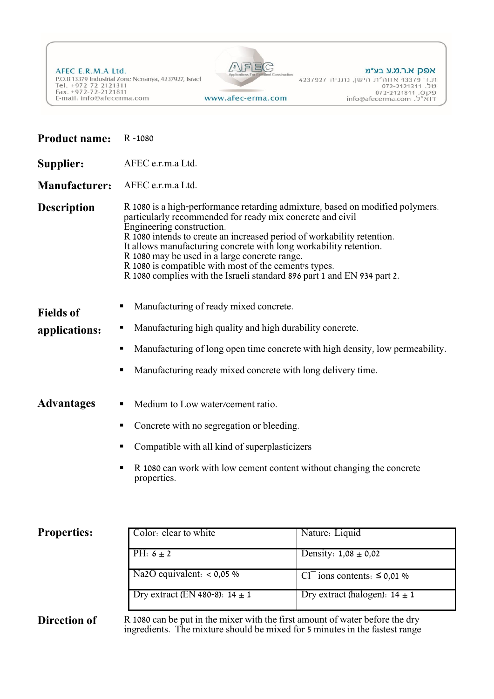AFEC E.R.M.A Ltd. P.O.B 13379 Industrial Zone Nenanya, 4237927, Israel Tel. +972-72-2121311<br>Fax. +972-72-2121311<br>E-mail: info@afecerma.com www.afec-erma.com



## אפק א.ר.מ.ע בע״מ

| <b>Product name:</b> | R-1080                                                                                                                                                                                                                                                                                                                                                                                                                                                                                                      |                                              |  |  |
|----------------------|-------------------------------------------------------------------------------------------------------------------------------------------------------------------------------------------------------------------------------------------------------------------------------------------------------------------------------------------------------------------------------------------------------------------------------------------------------------------------------------------------------------|----------------------------------------------|--|--|
| <b>Supplier:</b>     | AFEC e.r.m.a Ltd.                                                                                                                                                                                                                                                                                                                                                                                                                                                                                           |                                              |  |  |
| <b>Manufacturer:</b> | AFEC e.r.m.a Ltd.                                                                                                                                                                                                                                                                                                                                                                                                                                                                                           |                                              |  |  |
| <b>Description</b>   | R 1080 is a high-performance retarding admixture, based on modified polymers.<br>particularly recommended for ready mix concrete and civil<br>Engineering construction.<br>R 1080 intends to create an increased period of workability retention.<br>It allows manufacturing concrete with long workability retention.<br>R 1080 may be used in a large concrete range.<br>R 1080 is compatible with most of the cement's types.<br>R 1080 complies with the Israeli standard 896 part 1 and EN 934 part 2. |                                              |  |  |
| <b>Fields of</b>     | Manufacturing of ready mixed concrete.                                                                                                                                                                                                                                                                                                                                                                                                                                                                      |                                              |  |  |
| applications:        | Manufacturing high quality and high durability concrete.<br>ш                                                                                                                                                                                                                                                                                                                                                                                                                                               |                                              |  |  |
|                      | Manufacturing of long open time concrete with high density, low permeability.<br>ш                                                                                                                                                                                                                                                                                                                                                                                                                          |                                              |  |  |
|                      | Manufacturing ready mixed concrete with long delivery time.<br>п                                                                                                                                                                                                                                                                                                                                                                                                                                            |                                              |  |  |
| Advantages           | Medium to Low water/cement ratio.                                                                                                                                                                                                                                                                                                                                                                                                                                                                           |                                              |  |  |
|                      | Concrete with no segregation or bleeding.<br>٠                                                                                                                                                                                                                                                                                                                                                                                                                                                              |                                              |  |  |
|                      | Compatible with all kind of superplasticizers<br>п                                                                                                                                                                                                                                                                                                                                                                                                                                                          |                                              |  |  |
|                      | R 1080 can work with low cement content without changing the concrete<br>properties.                                                                                                                                                                                                                                                                                                                                                                                                                        |                                              |  |  |
| <b>Properties:</b>   | Color: clear to white                                                                                                                                                                                                                                                                                                                                                                                                                                                                                       | Nature: Liquid                               |  |  |
|                      | PH: $6 \pm 2$                                                                                                                                                                                                                                                                                                                                                                                                                                                                                               | Density: $1,08 \pm 0,02$                     |  |  |
|                      | Na2O equivalent: $< 0.05$ %                                                                                                                                                                                                                                                                                                                                                                                                                                                                                 | Cl <sup>-</sup> ions contents: $\leq$ 0,01 % |  |  |
|                      | Dry extract (EN 480-8): $14 \pm 1$                                                                                                                                                                                                                                                                                                                                                                                                                                                                          | Dry extract (halogen): $14 \pm 1$            |  |  |
| <b>Direction of</b>  | R 1080 can be put in the mixer with the first amount of water before the dry<br>ingredients. The mixture should be mixed for 5 minutes in the fastest range                                                                                                                                                                                                                                                                                                                                                 |                                              |  |  |